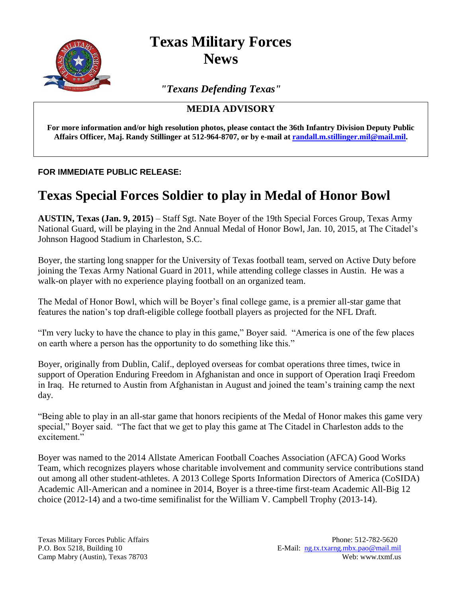

**Texas Military Forces News**

*"Texans Defending Texas"*

## **MEDIA ADVISORY**

**For more information and/or high resolution photos, please contact the 36th Infantry Division Deputy Public Affairs Officer, Maj. Randy Stillinger at 512-964-8707, or by e-mail a[t randall.m.stillinger.mil@mail.mil.](mailto:randall.m.stillinger.mil@mail.mil)** 

## **FOR IMMEDIATE PUBLIC RELEASE:**

## **Texas Special Forces Soldier to play in Medal of Honor Bowl**

**AUSTIN, Texas (Jan. 9, 2015)** – Staff Sgt. Nate Boyer of the 19th Special Forces Group, Texas Army National Guard, will be playing in the 2nd Annual Medal of Honor Bowl, Jan. 10, 2015, at The Citadel's Johnson Hagood Stadium in Charleston, S.C.

Boyer, the starting long snapper for the University of Texas football team, served on Active Duty before joining the Texas Army National Guard in 2011, while attending college classes in Austin. He was a walk-on player with no experience playing football on an organized team.

The Medal of Honor Bowl, which will be Boyer's final college game, is a premier all-star game that features the nation's top draft-eligible college football players as projected for the NFL Draft.

"I'm very lucky to have the chance to play in this game," Boyer said. "America is one of the few places on earth where a person has the opportunity to do something like this."

Boyer, originally from Dublin, Calif., deployed overseas for combat operations three times, twice in support of Operation Enduring Freedom in Afghanistan and once in support of Operation Iraqi Freedom in Iraq. He returned to Austin from Afghanistan in August and joined the team's training camp the next day.

"Being able to play in an all-star game that honors recipients of the Medal of Honor makes this game very special," Boyer said. "The fact that we get to play this game at The Citadel in Charleston adds to the excitement."

Boyer was named to the 2014 Allstate American Football Coaches Association (AFCA) Good Works Team, which recognizes players whose charitable involvement and community service contributions stand out among all other student-athletes. A 2013 College Sports Information Directors of America (CoSIDA) Academic All-American and a nominee in 2014, Boyer is a three-time first-team Academic All-Big 12 choice (2012-14) and a two-time semifinalist for the William V. Campbell Trophy (2013-14).